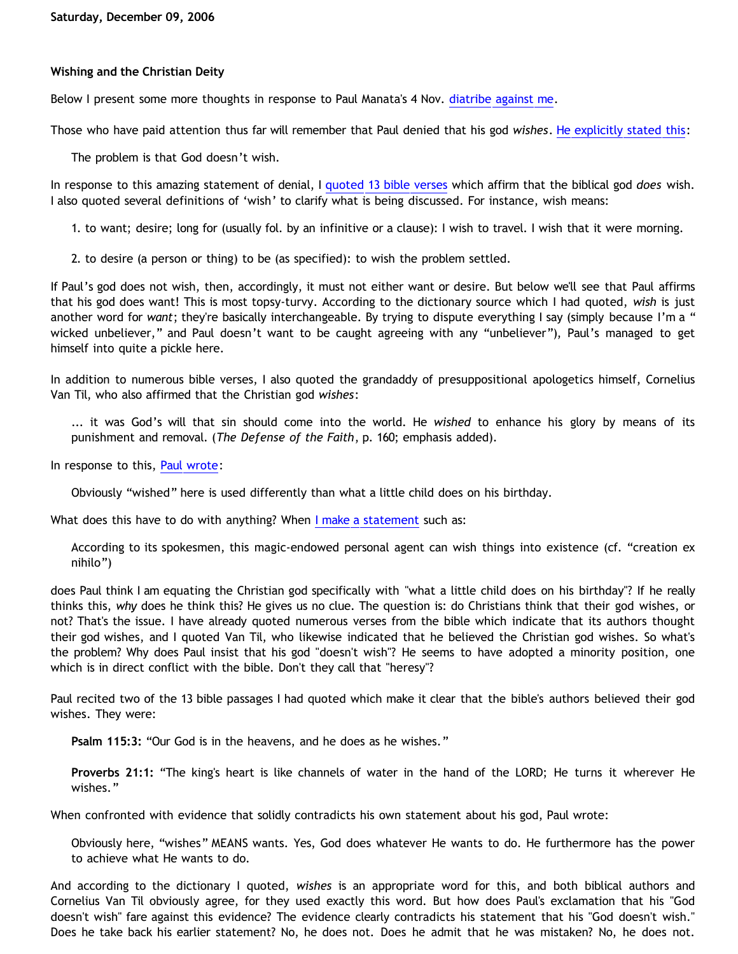## **Wishing and the Christian Deity**

Below I present some more thoughts in response to Paul Manata's 4 Nov. [diatribe against me.](http://triablogue.blogspot.com/2006/11/bethrick-burner.html)

Those who have paid attention thus far will remember that Paul denied that his god *wishes*. [He explicitly stated this:](http://triablogue.blogspot.com/2006/10/lucky-charms-atheology.html)

The problem is that God doesn't wish.

In response to this amazing statement of denial, I [quoted 13 bible verses](http://bahnsenburner.blogspot.com/2006/11/do-unto-others_23.html) which affirm that the biblical god *does* wish. I also quoted several definitions of 'wish' to clarify what is being discussed. For instance, wish means:

1. to want; desire; long for (usually fol. by an infinitive or a clause): I wish to travel. I wish that it were morning.

2. to desire (a person or thing) to be (as specified): to wish the problem settled.

If Paul's god does not wish, then, accordingly, it must not either want or desire. But below we'll see that Paul affirms that his god does want! This is most topsy-turvy. According to the dictionary source which I had quoted, *wish* is just another word for *want*; they're basically interchangeable. By trying to dispute everything I say (simply because I'm a " wicked unbeliever," and Paul doesn't want to be caught agreeing with any "unbeliever"), Paul's managed to get himself into quite a pickle here.

In addition to numerous bible verses, I also quoted the grandaddy of presuppositional apologetics himself, Cornelius Van Til, who also affirmed that the Christian god *wishes*:

... it was God's will that sin should come into the world. He *wished* to enhance his glory by means of its punishment and removal. (*The Defense of the Faith*, p. 160; emphasis added).

In response to this, [Paul wrote:](http://triablogue.blogspot.com/2006/11/bethrick-burner.html)

Obviously "wished" here is used differently than what a little child does on his birthday.

What does this have to do with anything? When [I make a statement](http://bahnsenburner.blogspot.com/2006/10/is-expression-invisible-magic-being.html) such as:

According to its spokesmen, this magic-endowed personal agent can wish things into existence (cf. "creation ex nihilo")

does Paul think I am equating the Christian god specifically with "what a little child does on his birthday"? If he really thinks this, *why* does he think this? He gives us no clue. The question is: do Christians think that their god wishes, or not? That's the issue. I have already quoted numerous verses from the bible which indicate that its authors thought their god wishes, and I quoted Van Til, who likewise indicated that he believed the Christian god wishes. So what's the problem? Why does Paul insist that his god "doesn't wish"? He seems to have adopted a minority position, one which is in direct conflict with the bible. Don't they call that "heresy"?

Paul recited two of the 13 bible passages I had quoted which make it clear that the bible's authors believed their god wishes. They were:

**Psalm 115:3:** "Our God is in the heavens, and he does as he wishes."

**Proverbs 21:1:** "The king's heart is like channels of water in the hand of the LORD; He turns it wherever He wishes."

When confronted with evidence that solidly contradicts his own statement about his god, Paul wrote:

Obviously here, "wishes" MEANS wants. Yes, God does whatever He wants to do. He furthermore has the power to achieve what He wants to do.

And according to the dictionary I quoted, *wishes* is an appropriate word for this, and both biblical authors and Cornelius Van Til obviously agree, for they used exactly this word. But how does Paul's exclamation that his "God doesn't wish" fare against this evidence? The evidence clearly contradicts his statement that his "God doesn't wish." Does he take back his earlier statement? No, he does not. Does he admit that he was mistaken? No, he does not.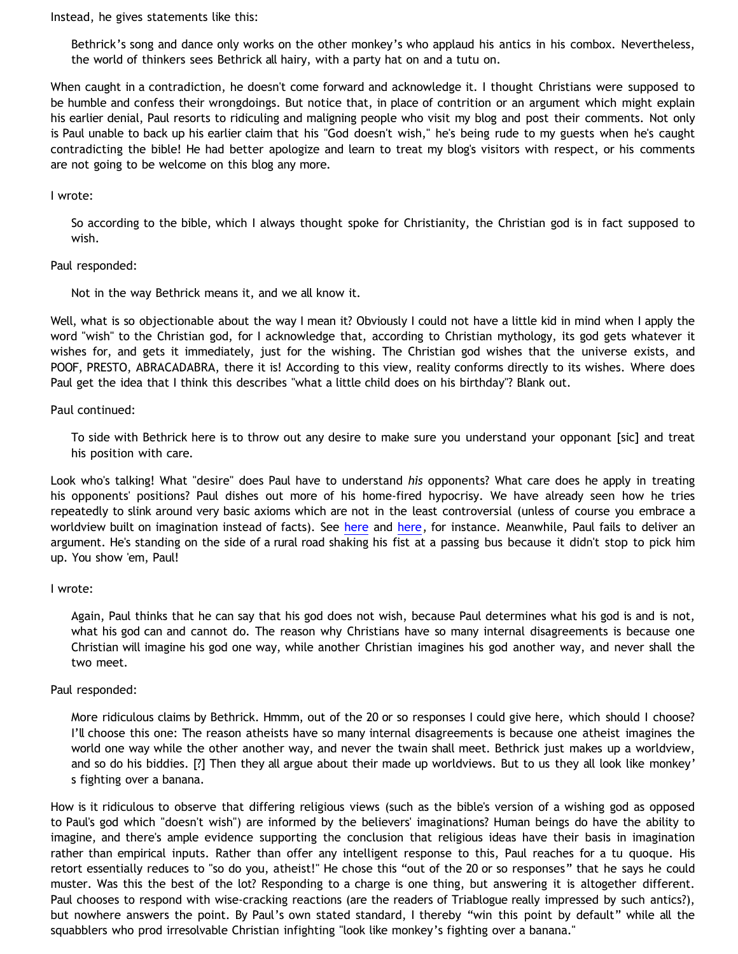Instead, he gives statements like this:

Bethrick's song and dance only works on the other monkey's who applaud his antics in his combox. Nevertheless, the world of thinkers sees Bethrick all hairy, with a party hat on and a tutu on.

When caught in a contradiction, he doesn't come forward and acknowledge it. I thought Christians were supposed to be humble and confess their wrongdoings. But notice that, in place of contrition or an argument which might explain his earlier denial, Paul resorts to ridiculing and maligning people who visit my blog and post their comments. Not only is Paul unable to back up his earlier claim that his "God doesn't wish," he's being rude to my guests when he's caught contradicting the bible! He had better apologize and learn to treat my blog's visitors with respect, or his comments are not going to be welcome on this blog any more.

## I wrote:

So according to the bible, which I always thought spoke for Christianity, the Christian god is in fact supposed to wish.

### Paul responded:

Not in the way Bethrick means it, and we all know it.

Well, what is so objectionable about the way I mean it? Obviously I could not have a little kid in mind when I apply the word "wish" to the Christian god, for I acknowledge that, according to Christian mythology, its god gets whatever it wishes for, and gets it immediately, just for the wishing. The Christian god wishes that the universe exists, and POOF, PRESTO, ABRACADABRA, there it is! According to this view, reality conforms directly to its wishes. Where does Paul get the idea that I think this describes "what a little child does on his birthday"? Blank out.

# Paul continued:

To side with Bethrick here is to throw out any desire to make sure you understand your opponant [sic] and treat his position with care.

Look who's talking! What "desire" does Paul have to understand *his* opponents? What care does he apply in treating his opponents' positions? Paul dishes out more of his home-fired hypocrisy. We have already seen how he tries repeatedly to slink around very basic axioms which are not in the least controversial (unless of course you embrace a worldview built on imagination instead of facts). See [here](http://bahnsenburner.blogspot.com/2005/10/probing-mr-manatas-poor-understanding.html) and [here,](http://bahnsenburner.blogspot.com/2006/12/axioms-and-primacy-of-existence.html) for instance. Meanwhile, Paul fails to deliver an argument. He's standing on the side of a rural road shaking his fist at a passing bus because it didn't stop to pick him up. You show 'em, Paul!

### I wrote:

Again, Paul thinks that he can say that his god does not wish, because Paul determines what his god is and is not, what his god can and cannot do. The reason why Christians have so many internal disagreements is because one Christian will imagine his god one way, while another Christian imagines his god another way, and never shall the two meet.

### Paul responded:

More ridiculous claims by Bethrick. Hmmm, out of the 20 or so responses I could give here, which should I choose? I'll choose this one: The reason atheists have so many internal disagreements is because one atheist imagines the world one way while the other another way, and never the twain shall meet. Bethrick just makes up a worldview, and so do his biddies. [?] Then they all argue about their made up worldviews. But to us they all look like monkey' s fighting over a banana.

How is it ridiculous to observe that differing religious views (such as the bible's version of a wishing god as opposed to Paul's god which "doesn't wish") are informed by the believers' imaginations? Human beings do have the ability to imagine, and there's ample evidence supporting the conclusion that religious ideas have their basis in imagination rather than empirical inputs. Rather than offer any intelligent response to this, Paul reaches for a tu quoque. His retort essentially reduces to "so do you, atheist!" He chose this "out of the 20 or so responses" that he says he could muster. Was this the best of the lot? Responding to a charge is one thing, but answering it is altogether different. Paul chooses to respond with wise-cracking reactions (are the readers of Triablogue really impressed by such antics?), but nowhere answers the point. By Paul's own stated standard, I thereby "win this point by default" while all the squabblers who prod irresolvable Christian infighting "look like monkey's fighting over a banana."